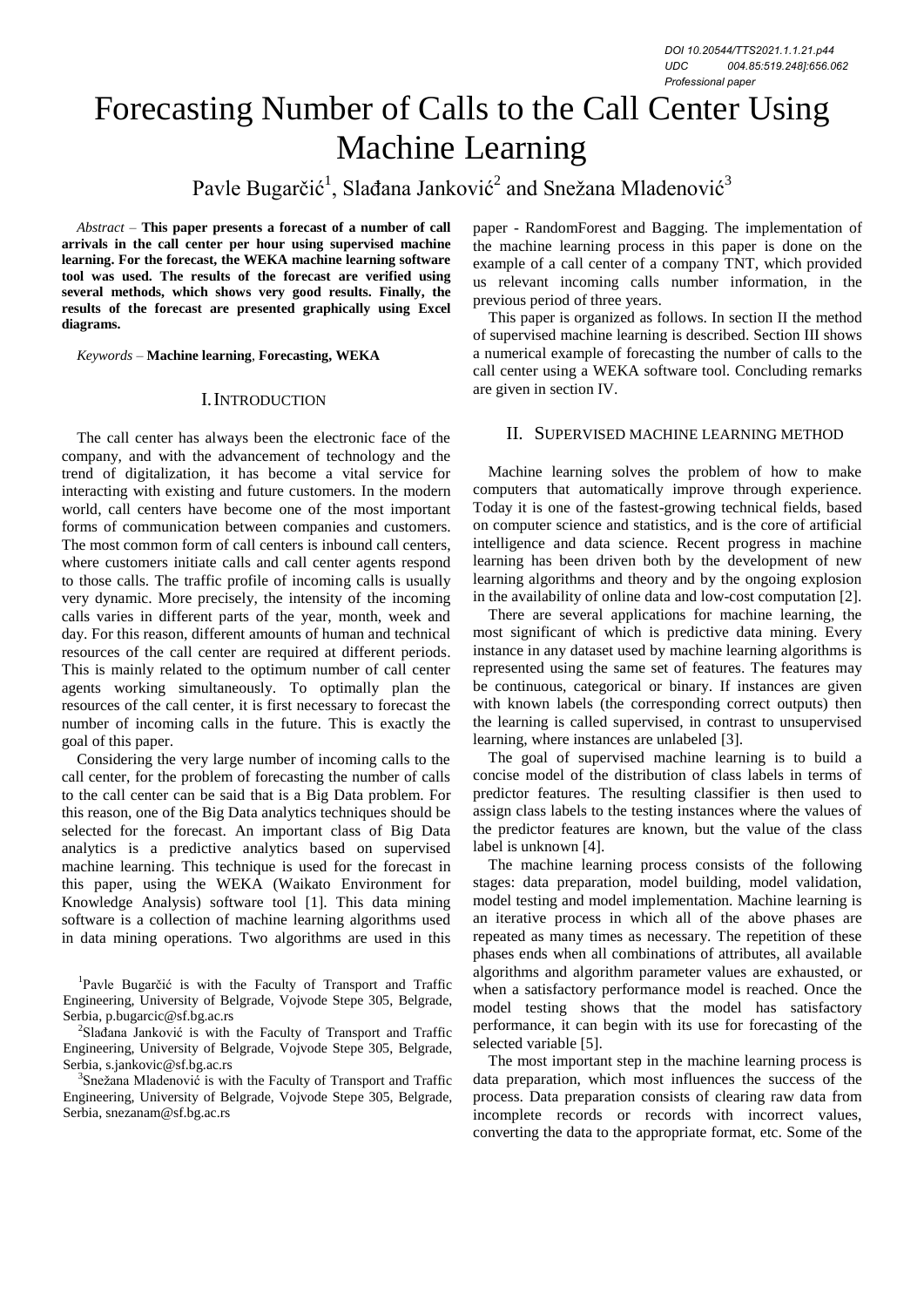# Forecasting Number of Calls to the Call Center Using Machine Learning

Pavle Bugarčić<sup>1</sup>, Slađana Janković<sup>2</sup> and Snežana Mladenović<sup>3</sup>

*Abstract –* **This paper presents a forecast of a number of call arrivals in the call center per hour using supervised machine learning. For the forecast, the WEKA machine learning software tool was used. The results of the forecast are verified using several methods, which shows very good results. Finally, the results of the forecast are presented graphically using Excel diagrams.** 

*Keywords –* **Machine learning**, **Forecasting, WEKA**

### I.INTRODUCTION

The call center has always been the electronic face of the company, and with the advancement of technology and the trend of digitalization, it has become a vital service for interacting with existing and future customers. In the modern world, call centers have become one of the most important forms of communication between companies and customers. The most common form of call centers is inbound call centers, where customers initiate calls and call center agents respond to those calls. The traffic profile of incoming calls is usually very dynamic. More precisely, the intensity of the incoming calls varies in different parts of the year, month, week and day. For this reason, different amounts of human and technical resources of the call center are required at different periods. This is mainly related to the optimum number of call center agents working simultaneously. To optimally plan the resources of the call center, it is first necessary to forecast the number of incoming calls in the future. This is exactly the goal of this paper.

Considering the very large number of incoming calls to the call center, for the problem of forecasting the number of calls to the call center can be said that is a Big Data problem. For this reason, one of the Big Data analytics techniques should be selected for the forecast. An important class of Big Data analytics is a predictive analytics based on supervised machine learning. This technique is used for the forecast in this paper, using the WEKA (Waikato Environment for Knowledge Analysis) software tool [1]. This data mining software is a collection of machine learning algorithms used in data mining operations. Two algorithms are used in this

<sup>1</sup>Pavle Bugarčić is with the Faculty of Transport and Traffic Engineering, University of Belgrade, Vojvode Stepe 305, Belgrade, Serbia, p.bugarcic@sf.bg.ac.rs

2 Slađana Janković is with the Faculty of Transport and Traffic Engineering, University of Belgrade, Vojvode Stepe 305, Belgrade, Serbia, s.jankovic@sf.bg.ac.rs

<sup>3</sup>Snežana Mladenović is with the Faculty of Transport and Traffic Engineering, University of Belgrade, Vojvode Stepe 305, Belgrade, Serbia, snezanam@sf.bg.ac.rs

paper - RandomForest and Bagging. The implementation of the machine learning process in this paper is done on the example of a call center of a company TNT, which provided us relevant incoming calls number information, in the previous period of three years.

This paper is organized as follows. In section II the method of supervised machine learning is described. Section III shows a numerical example of forecasting the number of calls to the call center using a WEKA software tool. Concluding remarks are given in section IV.

#### II. SUPERVISED MACHINE LEARNING METHOD

Machine learning solves the problem of how to make computers that automatically improve through experience. Today it is one of the fastest-growing technical fields, based on computer science and statistics, and is the core of artificial intelligence and data science. Recent progress in machine learning has been driven both by the development of new learning algorithms and theory and by the ongoing explosion in the availability of online data and low-cost computation [2].

There are several applications for machine learning, the most significant of which is predictive data mining. Every instance in any dataset used by machine learning algorithms is represented using the same set of features. The features may be continuous, categorical or binary. If instances are given with known labels (the corresponding correct outputs) then the learning is called supervised, in contrast to unsupervised learning, where instances are unlabeled [3].

The goal of supervised machine learning is to build a concise model of the distribution of class labels in terms of predictor features. The resulting classifier is then used to assign class labels to the testing instances where the values of the predictor features are known, but the value of the class label is unknown [4].

The machine learning process consists of the following stages: data preparation, model building, model validation, model testing and model implementation. Machine learning is an iterative process in which all of the above phases are repeated as many times as necessary. The repetition of these phases ends when all combinations of attributes, all available algorithms and algorithm parameter values are exhausted, or when a satisfactory performance model is reached. Once the model testing shows that the model has satisfactory performance, it can begin with its use for forecasting of the selected variable [5].

The most important step in the machine learning process is data preparation, which most influences the success of the process. Data preparation consists of clearing raw data from incomplete records or records with incorrect values, converting the data to the appropriate format, etc. Some of the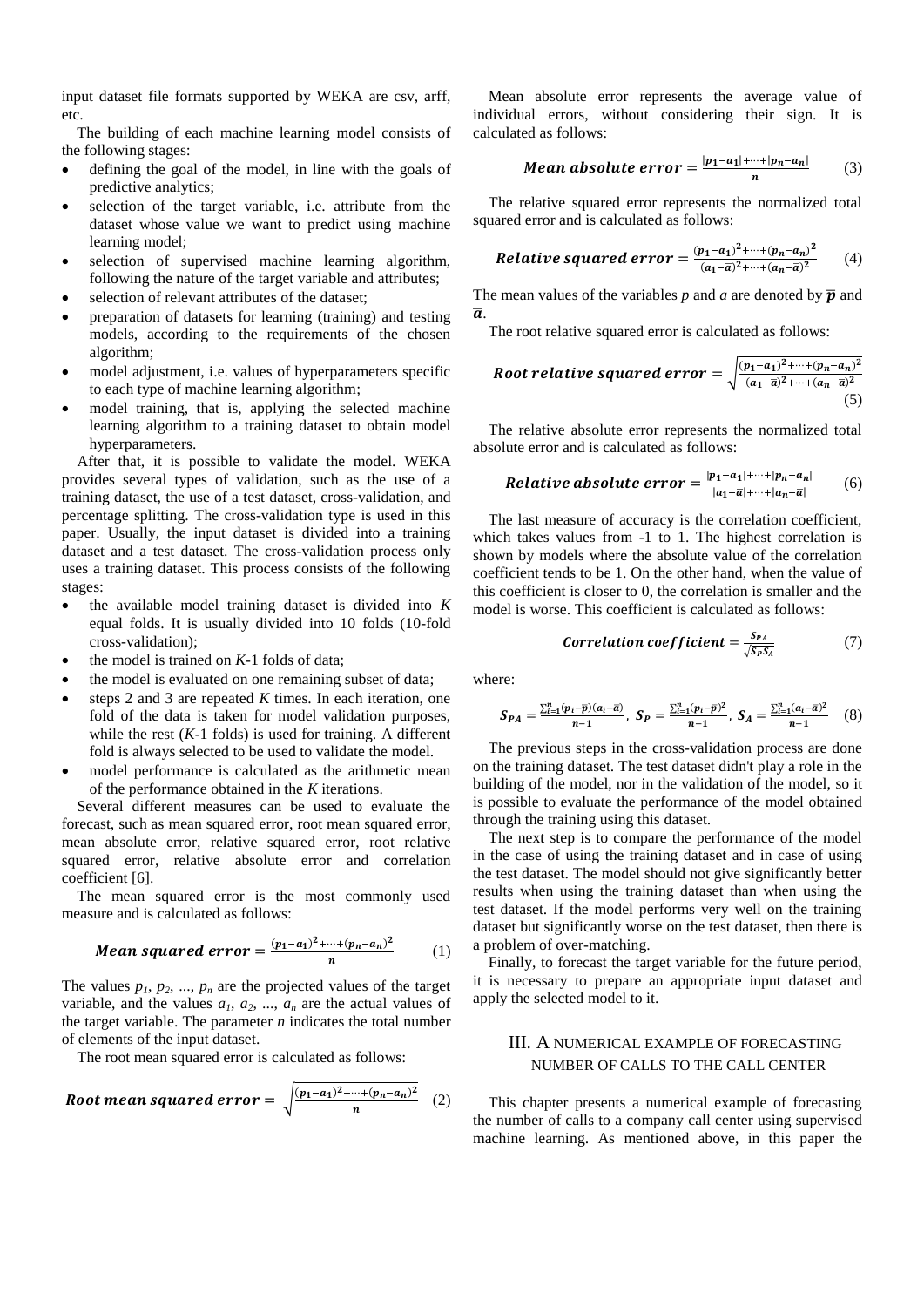input dataset file formats supported by WEKA are csv, arff, etc.

The building of each machine learning model consists of the following stages:

- defining the goal of the model, in line with the goals of predictive analytics;
- selection of the target variable, i.e. attribute from the dataset whose value we want to predict using machine learning model;
- selection of supervised machine learning algorithm, following the nature of the target variable and attributes;
- selection of relevant attributes of the dataset;
- preparation of datasets for learning (training) and testing models, according to the requirements of the chosen algorithm;
- model adjustment, i.e. values of hyperparameters specific to each type of machine learning algorithm;
- model training, that is, applying the selected machine learning algorithm to a training dataset to obtain model hyperparameters.

After that, it is possible to validate the model. WEKA provides several types of validation, such as the use of a training dataset, the use of a test dataset, cross-validation, and percentage splitting. The cross-validation type is used in this paper. Usually, the input dataset is divided into a training dataset and a test dataset. The cross-validation process only uses a training dataset. This process consists of the following stages:

- the available model training dataset is divided into *K* equal folds. It is usually divided into 10 folds (10-fold cross-validation);
- $\bullet$  the model is trained on  $K-1$  folds of data;
- the model is evaluated on one remaining subset of data;
- steps 2 and 3 are repeated *K* times. In each iteration, one fold of the data is taken for model validation purposes, while the rest  $(K-1)$  folds) is used for training. A different fold is always selected to be used to validate the model.
- model performance is calculated as the arithmetic mean of the performance obtained in the *K* iterations.

Several different measures can be used to evaluate the forecast, such as mean squared error, root mean squared error, mean absolute error, relative squared error, root relative squared error, relative absolute error and correlation coefficient [6].

The mean squared error is the most commonly used measure and is calculated as follows:

Mean squared error = 
$$
\frac{(p_1 - a_1)^2 + \dots + (p_n - a_n)^2}{n}
$$
 (1)

The values  $p_1, p_2, ..., p_n$  are the projected values of the target variable, and the values  $a_1, a_2, ..., a_n$  are the actual values of the target variable. The parameter *n* indicates the total number of elements of the input dataset.

The root mean squared error is calculated as follows:

Root mean squared error = 
$$
\sqrt{\frac{(p_1-a_1)^2+\cdots+(p_n-a_n)^2}{n}}
$$
 (2)

Mean absolute error represents the average value of individual errors, without considering their sign. It is calculated as follows:

Mean absolute error = 
$$
\frac{|p_1 - a_1| + \dots + |p_n - a_n|}{n}
$$
 (3)

The relative squared error represents the normalized total squared error and is calculated as follows:

**Relative squared error** = 
$$
\frac{(p_1-a_1)^2 + \dots + (p_n-a_n)^2}{(a_1-\overline{a})^2 + \dots + (a_n-\overline{a})^2}
$$
 (4)

The mean values of the variables  $p$  and  $a$  are denoted by  $\bar{p}$  and  $\overline{a}$ .

The root relative squared error is calculated as follows:

Root relative squared error = 
$$
\sqrt{\frac{(p_1-a_1)^2 + \dots + (p_n-a_n)^2}{(a_1-\overline{a})^2 + \dots + (a_n-\overline{a})^2}}
$$
(5)

The relative absolute error represents the normalized total absolute error and is calculated as follows:

**Relative absolute error** = 
$$
\frac{|p_1 - a_1| + \cdots + |p_n - a_n|}{|a_1 - \overline{a}| + \cdots + |a_n - \overline{a}|}
$$
 (6)

The last measure of accuracy is the correlation coefficient, which takes values from -1 to 1. The highest correlation is shown by models where the absolute value of the correlation coefficient tends to be 1. On the other hand, when the value of this coefficient is closer to 0, the correlation is smaller and the model is worse. This coefficient is calculated as follows:

Correlation coefficient = 
$$
\frac{S_{PA}}{\sqrt{S_P S_A}}
$$
 (7)

where:

$$
S_{PA} = \frac{\sum_{i=1}^{n} (p_i - \bar{p})(a_i - \bar{a})}{n-1}, \ S_P = \frac{\sum_{i=1}^{n} (p_i - \bar{p})^2}{n-1}, \ S_A = \frac{\sum_{i=1}^{n} (a_i - \bar{a})^2}{n-1} \quad (8)
$$

The previous steps in the cross-validation process are done on the training dataset. The test dataset didn't play a role in the building of the model, nor in the validation of the model, so it is possible to evaluate the performance of the model obtained through the training using this dataset.

The next step is to compare the performance of the model in the case of using the training dataset and in case of using the test dataset. The model should not give significantly better results when using the training dataset than when using the test dataset. If the model performs very well on the training dataset but significantly worse on the test dataset, then there is a problem of over-matching.

Finally, to forecast the target variable for the future period, it is necessary to prepare an appropriate input dataset and apply the selected model to it.

# III. A NUMERICAL EXAMPLE OF FORECASTING NUMBER OF CALLS TO THE CALL CENTER

This chapter presents a numerical example of forecasting the number of calls to a company call center using supervised machine learning. As mentioned above, in this paper the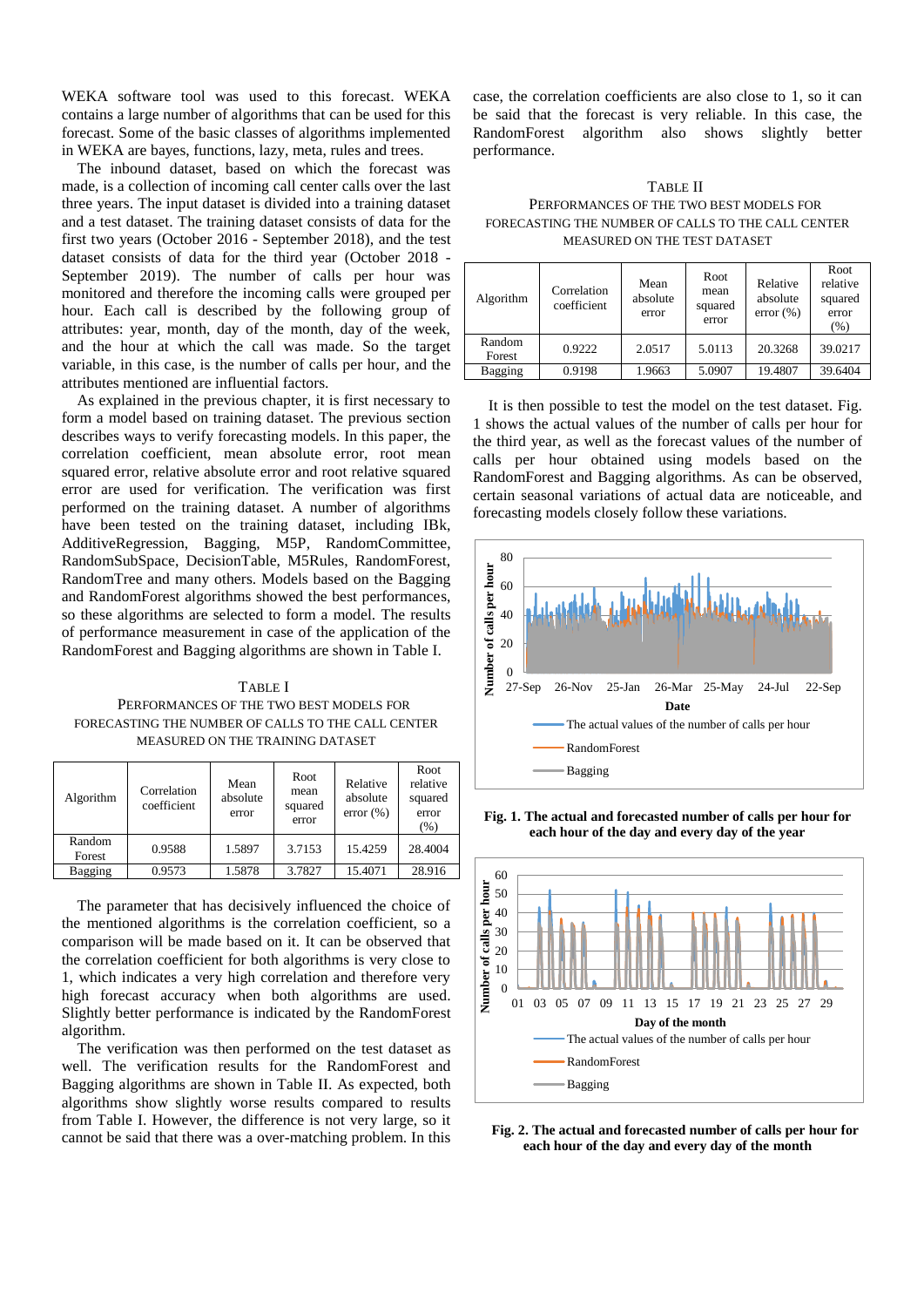WEKA software tool was used to this forecast. WEKA contains a large number of algorithms that can be used for this forecast. Some of the basic classes of algorithms implemented in WEKA are bayes, functions, lazy, meta, rules and trees.

The inbound dataset, based on which the forecast was made, is a collection of incoming call center calls over the last three years. The input dataset is divided into a training dataset and a test dataset. The training dataset consists of data for the first two years (October 2016 - September 2018), and the test dataset consists of data for the third year (October 2018 - September 2019). The number of calls per hour was monitored and therefore the incoming calls were grouped per hour. Each call is described by the following group of attributes: year, month, day of the month, day of the week, and the hour at which the call was made. So the target variable, in this case, is the number of calls per hour, and the attributes mentioned are influential factors.

As explained in the previous chapter, it is first necessary to form a model based on training dataset. The previous section describes ways to verify forecasting models. In this paper, the correlation coefficient, mean absolute error, root mean squared error, relative absolute error and root relative squared error are used for verification. The verification was first performed on the training dataset. A number of algorithms have been tested on the training dataset, including IBk, AdditiveRegression, Bagging, M5P, RandomCommittee, RandomSubSpace, DecisionTable, M5Rules, RandomForest, RandomTree and many others. Models based on the Bagging and RandomForest algorithms showed the best performances, so these algorithms are selected to form a model. The results of performance measurement in case of the application of the RandomForest and Bagging algorithms are shown in Table I.

TABLE I PERFORMANCES OF THE TWO BEST MODELS FOR FORECASTING THE NUMBER OF CALLS TO THE CALL CENTER MEASURED ON THE TRAINING DATASET

| Algorithm        | Correlation<br>coefficient | Mean<br>absolute<br>error | Root<br>mean<br>squared<br>error | Relative<br>absolute<br>error $(\% )$ | Root<br>relative<br>squared<br>error<br>(%) |
|------------------|----------------------------|---------------------------|----------------------------------|---------------------------------------|---------------------------------------------|
| Random<br>Forest | 0.9588                     | 1.5897                    | 3.7153                           | 15.4259                               | 28.4004                                     |
| Bagging          | 0.9573                     | 1.5878                    | 3.7827                           | 15.4071                               | 28.916                                      |

The parameter that has decisively influenced the choice of the mentioned algorithms is the correlation coefficient, so a comparison will be made based on it. It can be observed that the correlation coefficient for both algorithms is very close to 1, which indicates a very high correlation and therefore very high forecast accuracy when both algorithms are used. Slightly better performance is indicated by the RandomForest algorithm.

The verification was then performed on the test dataset as well. The verification results for the RandomForest and Bagging algorithms are shown in Table II. As expected, both algorithms show slightly worse results compared to results from Table I. However, the difference is not very large, so it cannot be said that there was a over-matching problem. In this case, the correlation coefficients are also close to 1, so it can be said that the forecast is very reliable. In this case, the RandomForest algorithm also shows slightly better performance.

## TABLE II PERFORMANCES OF THE TWO BEST MODELS FOR FORECASTING THE NUMBER OF CALLS TO THE CALL CENTER MEASURED ON THE TEST DATASET

| Algorithm        | Correlation<br>coefficient | Mean<br>absolute<br>error | Root<br>mean<br>squared<br>error | Relative<br>absolute<br>error $(\% )$ | Root<br>relative<br>squared<br>error<br>(%) |
|------------------|----------------------------|---------------------------|----------------------------------|---------------------------------------|---------------------------------------------|
| Random<br>Forest | 0.9222                     | 2.0517                    | 5.0113                           | 20.3268                               | 39.0217                                     |
| Bagging          | 0.9198                     | 1.9663                    | 5.0907                           | 19.4807                               | 39.6404                                     |

It is then possible to test the model on the test dataset. Fig. 1 shows the actual values of the number of calls per hour for the third year, as well as the forecast values of the number of calls per hour obtained using models based on the RandomForest and Bagging algorithms. As can be observed, certain seasonal variations of actual data are noticeable, and forecasting models closely follow these variations.



**Fig. 1. The actual and forecasted number of calls per hour for each hour of the day and every day of the year**



**Fig. 2. The actual and forecasted number of calls per hour for each hour of the day and every day of the month**